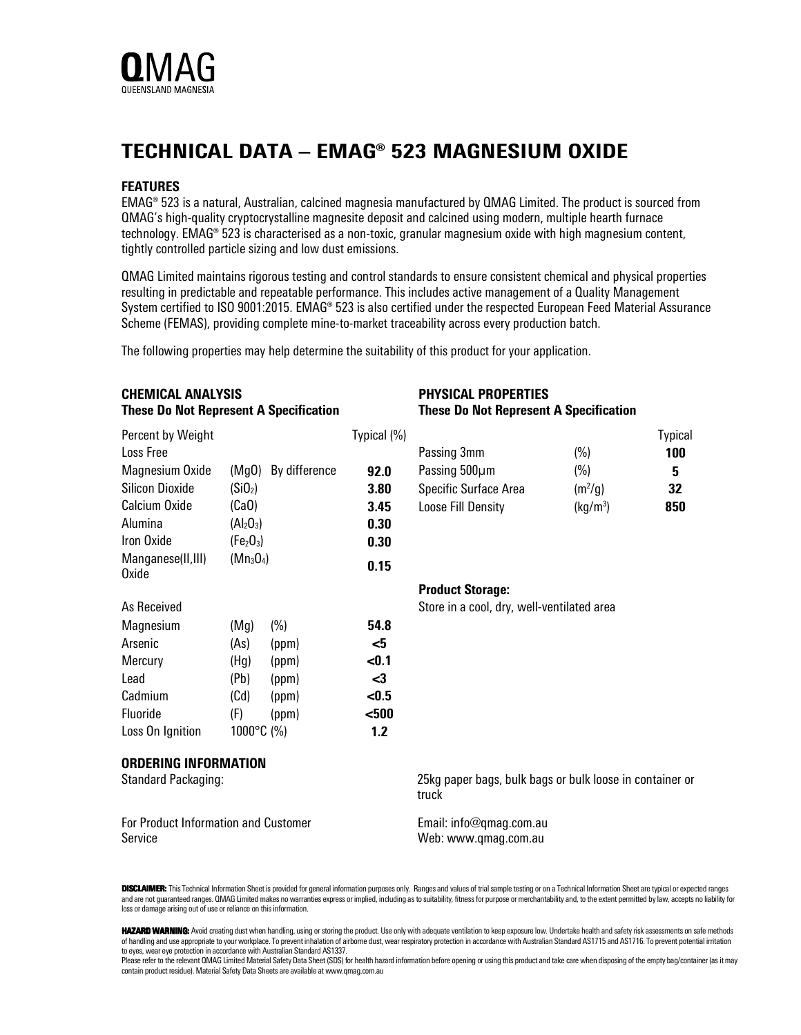

## TECHNICAL DATA – EMAG® 523 MAGNESIUM OXIDE

## FEATURES

EMAG® 523 is a natural, Australian, calcined magnesia manufactured by QMAG Limited. The product is sourced from QMAG's high-quality cryptocrystalline magnesite deposit and calcined using modern, multiple hearth furnace technology. EMAG® 523 is characterised as a non-toxic, granular magnesium oxide with high magnesium content, tightly controlled particle sizing and low dust emissions.

QMAG Limited maintains rigorous testing and control standards to ensure consistent chemical and physical properties resulting in predictable and repeatable performance. This includes active management of a Quality Management System certified to ISO 9001:2015. EMAG® 523 is also certified under the respected European Feed Material Assurance Scheme (FEMAS), providing complete mine-to-market traceability across every production batch.

The following properties may help determine the suitability of this product for your application.

| <b>CHEMICAL ANALYSIS</b><br><b>These Do Not Represent A Specification</b> |                                   |                     |             | <b>PHYSICAL PROPERTIES</b><br><b>These Do Not Represent A Specification</b> |                      |                |
|---------------------------------------------------------------------------|-----------------------------------|---------------------|-------------|-----------------------------------------------------------------------------|----------------------|----------------|
| Percent by Weight                                                         |                                   |                     | Typical (%) |                                                                             |                      | <b>Typical</b> |
| Loss Free                                                                 |                                   |                     |             | Passing 3mm                                                                 | (%)                  | 100            |
| Magnesium Oxide                                                           |                                   | (MgO) By difference | 92.0        | Passing 500µm                                                               | (%)                  | 5              |
| <b>Silicon Dioxide</b>                                                    | (Si0 <sub>2</sub> )               |                     | 3.80        | Specific Surface Area                                                       | (m <sup>2</sup> /g)  | 32             |
| Calcium Oxide                                                             | (Ca0)                             |                     | 3.45        | Loose Fill Density                                                          | (kg/m <sup>3</sup> ) | 850            |
| Alumina                                                                   | $(Al_2O_3)$                       |                     | 0.30        |                                                                             |                      |                |
| Iron Oxide                                                                | (Fe <sub>2</sub> O <sub>3</sub> ) |                     | 0.30        |                                                                             |                      |                |
| $(Mn_3O_4)$<br>Manganese(II,III)<br>Oxide                                 |                                   |                     | 0.15        |                                                                             |                      |                |
|                                                                           |                                   |                     |             | <b>Product Storage:</b>                                                     |                      |                |
| As Received                                                               |                                   |                     |             | Store in a cool, dry, well-ventilated area                                  |                      |                |
| Magnesium                                                                 | (Mg)                              | (%)                 | 54.8        |                                                                             |                      |                |
| Arsenic                                                                   | (As)                              | (ppm)               | $5$         |                                                                             |                      |                |
| Mercury                                                                   | (Hg)                              | (ppm)               | < 0.1       |                                                                             |                      |                |
| Lead                                                                      | (Pb)                              | (ppm)               | $3$         |                                                                             |                      |                |
| Cadmium                                                                   | (Cd)                              | (ppm)               | < 0.5       |                                                                             |                      |                |
| Fluoride                                                                  | (F)                               | (ppm)               | $500$       |                                                                             |                      |                |
| Loss On Ignition                                                          | 1000°C (%)                        |                     | 1.2         |                                                                             |                      |                |
| <b>ORDERING INFORMATION</b>                                               |                                   |                     |             |                                                                             |                      |                |
| Standard Packaging:                                                       |                                   |                     |             | 25kg paper bags, bulk bags or bulk loose in container or<br>truck           |                      |                |
| For Product Information and Customer<br>Service                           |                                   |                     |             | Email: info@qmag.com.au<br>Web: www.qmag.com.au                             |                      |                |

DISCLAIMER: This Technical Information Sheet is provided for general information purposes only. Ranges and values of trial sample testing or on a Technical Information Sheet are typical or expected ranges and are not guaranteed ranges. QMAG Limited makes no warranties express or implied, including as to suitability, fitness for purpose or merchantability and, to the extent permitted by law, accepts no liability for loss or damage arising out of use or reliance on this information.

HAZARD WARNING: Avoid creating dust when handling, using or storing the product. Use only with adequate ventilation to keep exposure low. Undertake health and safety risk assessments on safe methods of handling and use appropriate to your workplace. To prevent inhalation of airborne dust, wear respiratory protection in accordance with Australian Standard AS1715 and AS1716. To prevent potential irritation to eyes, wear eye protection in accordance with Australian Standard AS1337.

Please refer to the relevant QMAG Limited Material Safety Data Sheet (SDS) for health hazard information before opening or using this product and take care when disposing of the empty bag/container (as it may contain product residue). Material Safety Data Sheets are available at www.qmag.com.au